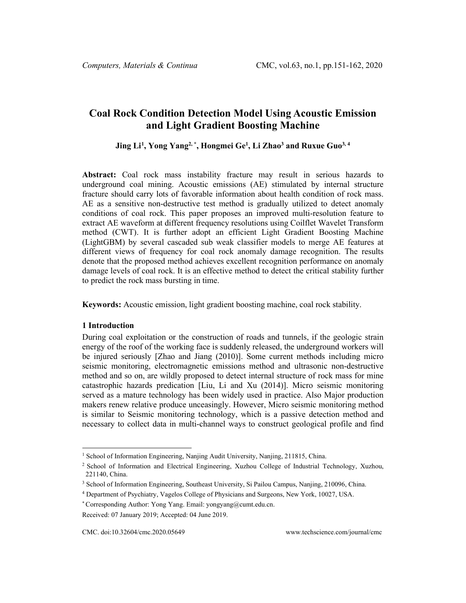# **Coal Rock Condition Detection Model Using Acoustic Emission and Light Gradient Boosting Machine**

**Jing Li[1](#page-0-0) , Yong Yang2, \* , Hongmei Ge1 , Li Zhao3 and Ruxue Guo3, 4**

**Abstract:** Coal rock mass instability fracture may result in serious hazards to underground coal mining. Acoustic emissions (AE) stimulated by internal structure fracture should carry lots of favorable information about health condition of rock mass. AE as a sensitive non-destructive test method is gradually utilized to detect anomaly conditions of coal rock. This paper proposes an improved multi-resolution feature to extract AE waveform at different frequency resolutions using Coilflet Wavelet Transform method (CWT). It is further adopt an efficient Light Gradient Boosting Machine (LightGBM) by several cascaded sub weak classifier models to merge AE features at different views of frequency for coal rock anomaly damage recognition. The results denote that the proposed method achieves excellent recognition performance on anomaly damage levels of coal rock. It is an effective method to detect the critical stability further to predict the rock mass bursting in time.

**Keywords:** Acoustic emission, light gradient boosting machine, coal rock stability.

### **1 Introduction**

During coal exploitation or the construction of roads and tunnels, if the geologic strain energy of the roof of the working face is suddenly released, the underground workers will be injured seriously [Zhao and Jiang (2010)]. Some current methods including micro seismic monitoring, electromagnetic emissions method and ultrasonic non-destructive method and so on, are wildly proposed to detect internal structure of rock mass for mine catastrophic hazards predication [Liu, Li and Xu (2014)]. Micro seismic monitoring served as a mature technology has been widely used in practice. Also Major production makers renew relative produce unceasingly. However, Micro seismic monitoring method is similar to Seismic monitoring technology, which is a passive detection method and necessary to collect data in multi-channel ways to construct geological profile and find

<span id="page-0-0"></span><sup>&</sup>lt;sup>1</sup> School of Information Engineering, Nanjing Audit University, Nanjing, 211815, China.

<sup>2</sup> School of Information and Electrical Engineering, Xuzhou College of Industrial Technology, Xuzhou, 221140, China.

<sup>3</sup> School of Information Engineering, Southeast University, Si Pailou Campus, Nanjing, 210096, China.

<sup>4</sup> Department of Psychiatry, Vagelos College of Physicians and Surgeons, New York, 10027, USA.

<sup>\*</sup> Corresponding Author: Yong Yang. Email: [yongyang@cumt.edu.cn.](mailto:yongyang@cumt.edu.cn)

Received: 07 January 2019; Accepted: 04 June 2019.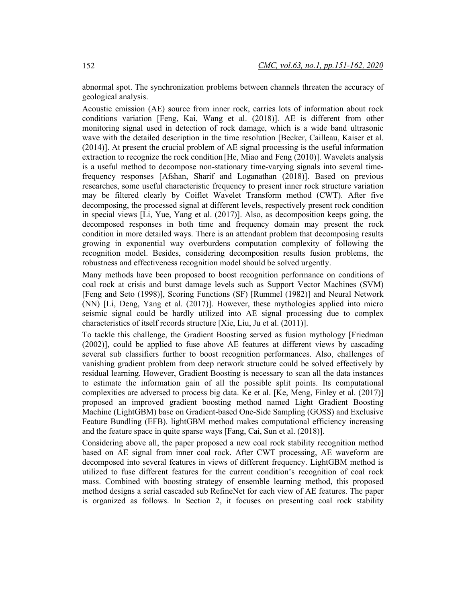abnormal spot. The synchronization problems between channels threaten the accuracy of geological analysis.

Acoustic emission (AE) source from inner rock, carries lots of information about rock conditions variation [Feng, Kai, Wang et al. (2018)]. AE is different from other monitoring signal used in detection of rock damage, which is a wide band ultrasonic wave with the detailed description in the time resolution [Becker, Cailleau, Kaiser et al. (2014)]. At present the crucial problem of AE signal processing is the useful information extraction to recognize the rock condition [He, Miao and Feng (2010)]. Wavelets analysis is a useful method to decompose non-stationary time-varying signals into several timefrequency responses [Afshan, Sharif and Loganathan (2018)]. Based on previous researches, some useful characteristic frequency to present inner rock structure variation may be filtered clearly by Coiflet Wavelet Transform method (CWT). After five decomposing, the processed signal at different levels, respectively present rock condition in special views [Li, Yue, Yang et al. (2017)]. Also, as decomposition keeps going, the decomposed responses in both time and frequency domain may present the rock condition in more detailed ways. There is an attendant problem that decomposing results growing in exponential way overburdens computation complexity of following the recognition model. Besides, considering decomposition results fusion problems, the robustness and effectiveness recognition model should be solved urgently.

Many methods have been proposed to boost recognition performance on conditions of coal rock at crisis and burst damage levels such as Support Vector Machines (SVM) [Feng and Seto (1998)], Scoring Functions (SF) [Rummel (1982)] and Neural Network (NN) [Li, Deng, Yang et al. (2017)]. However, these mythologies applied into micro seismic signal could be hardly utilized into AE signal processing due to complex characteristics of itself records structure [Xie, Liu, Ju et al. (2011)].

To tackle this challenge, the Gradient Boosting served as fusion mythology [Friedman (2002)], could be applied to fuse above AE features at different views by cascading several sub classifiers further to boost recognition performances. Also, challenges of vanishing gradient problem from deep network structure could be solved effectively by residual learning. However, Gradient Boosting is necessary to scan all the data instances to estimate the information gain of all the possible split points. Its computational complexities are adversed to process big data. Ke et al. [Ke, Meng, Finley et al. (2017)] proposed an improved gradient boosting method named Light Gradient Boosting Machine (LightGBM) base on Gradient-based One-Side Sampling (GOSS) and Exclusive Feature Bundling (EFB). lightGBM method makes computational efficiency increasing and the feature space in quite sparse ways [Fang, Cai, Sun et al. (2018)].

Considering above all, the paper proposed a new coal rock stability recognition method based on AE signal from inner coal rock. After CWT processing, AE waveform are decomposed into several features in views of different frequency. LightGBM method is utilized to fuse different features for the current condition's recognition of coal rock mass. Combined with boosting strategy of ensemble learning method, this proposed method designs a serial cascaded sub RefineNet for each view of AE features. The paper is organized as follows. In Section 2, it focuses on presenting coal rock stability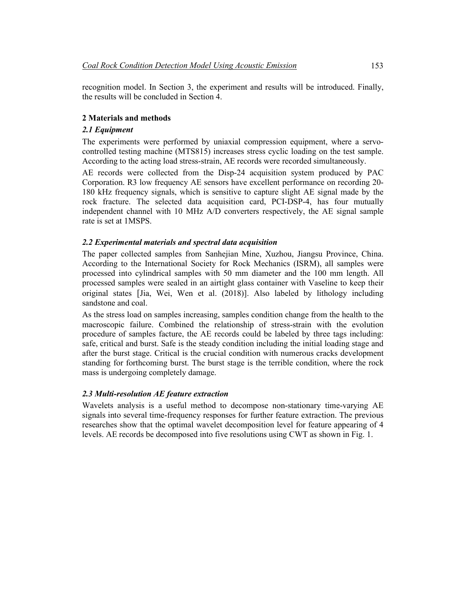recognition model. In Section 3, the experiment and results will be introduced. Finally, the results will be concluded in Section 4.

### **2 Materials and methods**

### *2.1 Equipment*

The experiments were performed by uniaxial compression equipment, where a servocontrolled testing machine (MTS815) increases stress cyclic loading on the test sample. According to the acting load stress-strain, AE records were recorded simultaneously.

AE records were collected from the Disp-24 acquisition system produced by PAC Corporation. R3 low frequency AE sensors have excellent performance on recording 20- 180 kHz frequency signals, which is sensitive to capture slight AE signal made by the rock fracture. The selected data acquisition card, PCI-DSP-4, has four mutually independent channel with 10 MHz A/D converters respectively, the AE signal sample rate is set at 1MSPS.

# *2.2 Experimental materials and spectral data acquisition*

The paper collected samples from Sanhejian Mine, Xuzhou, Jiangsu Province, China. According to the International Society for Rock Mechanics (ISRM), all samples were processed into cylindrical samples with 50 mm diameter and the 100 mm length. All processed samples were sealed in an airtight glass container with Vaseline to keep their original states [Jia, Wei, Wen et al. (2018)]. Also labeled by lithology including sandstone and coal.

As the stress load on samples increasing, samples condition change from the health to the macroscopic failure. Combined the relationship of stress-strain with the evolution procedure of samples facture, the AE records could be labeled by three tags including: safe, critical and burst. Safe is the steady condition including the initial loading stage and after the burst stage. Critical is the crucial condition with numerous cracks development standing for forthcoming burst. The burst stage is the terrible condition, where the rock mass is undergoing completely damage.

# *2.3 Multi-resolution AE feature extraction*

Wavelets analysis is a useful method to decompose non-stationary time-varying AE signals into several time-frequency responses for further feature extraction. The previous researches show that the optimal wavelet decomposition level for feature appearing of 4 levels. AE records be decomposed into five resolutions using CWT as shown in Fig. 1.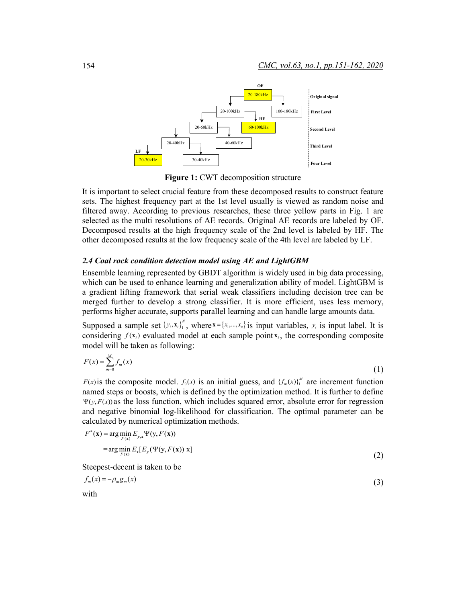

**Figure 1:** CWT decomposition structure

It is important to select crucial feature from these decomposed results to construct feature sets. The highest frequency part at the 1st level usually is viewed as random noise and filtered away. According to previous researches, these three yellow parts in Fig. 1 are selected as the multi resolutions of AE records. Original AE records are labeled by OF. Decomposed results at the high frequency scale of the 2nd level is labeled by HF. The other decomposed results at the low frequency scale of the 4th level are labeled by LF.

#### *2.4 Coal rock condition detection model using AE and LightGBM*

Ensemble learning represented by GBDT algorithm is widely used in big data processing, which can be used to enhance learning and generalization ability of model. LightGBM is a gradient lifting framework that serial weak classifiers including decision tree can be merged further to develop a strong classifier. It is more efficient, uses less memory, performs higher accurate, supports parallel learning and can handle large amounts data.

Supposed a sample set  $\{y_i, x_i\}^N$ , where  $\mathbf{x} = \{x_1, \dots, x_n\}$  is input variables,  $y_i$  is input label. It is considering  $f(\mathbf{x}_i)$  evaluated model at each sample point  $\mathbf{x}_i$ , the corresponding composite model will be taken as following:

$$
F(x) = \sum_{m=0}^{M} f_m(x)
$$
\n<sup>(1)</sup>

*F(x)* is the composite model.  $f_0(x)$  is an initial guess, and  $\{f_m(x)\}_1^M$  are increment function named steps or boosts, which is defined by the optimization method. It is further to define  $\Psi(y, F(x))$  as the loss function, which includes squared error, absolute error for regression and negative binomial log-likelihood for classification. The optimal parameter can be calculated by numerical optimization methods.

$$
F^*(\mathbf{x}) = \arg\min_{F(\mathbf{x})} E_{y,\mathbf{x}} \Psi(\mathbf{y}, F(\mathbf{x}))
$$
  
= 
$$
\arg\min_{F(\mathbf{x})} E_{\mathbf{x}} [E_y(\Psi(\mathbf{y}, F(\mathbf{x})) | \mathbf{x})]
$$
 (2)

Steepest-decent is taken to be

$$
f_m(x) = -\rho_m g_m(x) \tag{3}
$$

with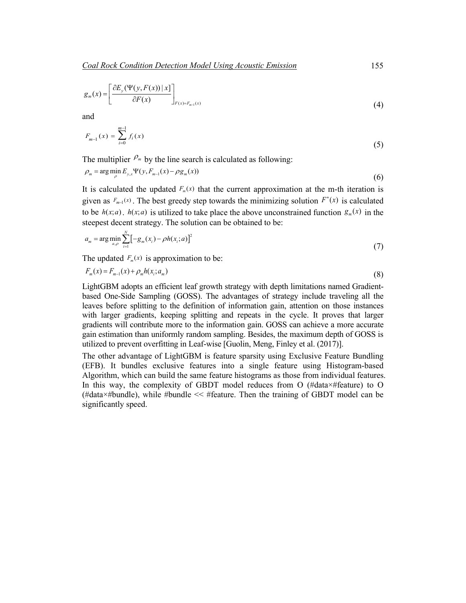$$
g_m(x) = \left[\frac{\partial E_y(\Psi(y, F(x)) \mid x]}{\partial F(x)}\right]_{F(x) = F_{m-1}(x)}
$$
(4)

and

$$
F_{m-1}(x) = \sum_{i=0}^{m-1} f_i(x) \tag{5}
$$

The multiplier  $P_m$  by the line search is calculated as following:

$$
\rho_m = \arg\min_{\rho} E_{y,x} \Psi(y, F_{m-1}(x) - \rho g_m(x))
$$
\n(6)

It is calculated the updated  $F_m(x)$  that the current approximation at the m-th iteration is given as  $F_{m-1}(x)$ . The best greedy step towards the minimizing solution  $F^*(x)$  is calculated to be  $h(x; a)$ .  $h(x; a)$  is utilized to take place the above unconstrained function  $g_m(x)$  in the steepest decent strategy. The solution can be obtained to be:

$$
a_m = \arg\min_{a,\rho} \sum_{i=1}^{N} \left[ -g_m(x_i) - \rho h(x_i; a) \right]^2
$$
 (7)

The updated  $F_m(x)$  is approximation to be:

$$
F_m(x) = F_{m-1}(x) + \rho_m h(x_i; a_m)
$$
\n(8)

LightGBM adopts an efficient leaf growth strategy with depth limitations named Gradientbased One-Side Sampling (GOSS). The advantages of strategy include traveling all the leaves before splitting to the definition of information gain, attention on those instances with larger gradients, keeping splitting and repeats in the cycle. It proves that larger gradients will contribute more to the information gain. GOSS can achieve a more accurate gain estimation than uniformly random sampling. Besides, the maximum depth of GOSS is utilized to prevent overfitting in Leaf-wise [Guolin, Meng, Finley et al. (2017)].

The other advantage of LightGBM is feature sparsity using Exclusive Feature Bundling (EFB). It bundles exclusive features into a single feature using Histogram-based Algorithm, which can build the same feature histograms as those from individual features. In this way, the complexity of GBDT model reduces from O (#data×#feature) to O (#data×#bundle), while #bundle << #feature. Then the training of GBDT model can be significantly speed.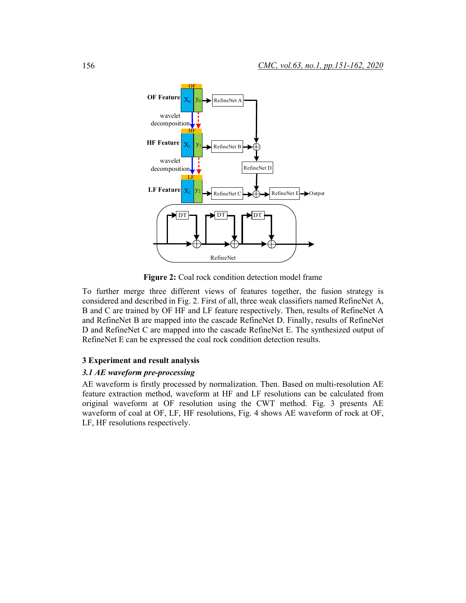

**Figure 2:** Coal rock condition detection model frame

To further merge three different views of features together, the fusion strategy is considered and described in Fig. 2. First of all, three weak classifiers named RefineNet A, B and C are trained by OF HF and LF feature respectively. Then, results of RefineNet A and RefineNet B are mapped into the cascade RefineNet D. Finally, results of RefineNet D and RefineNet C are mapped into the cascade RefineNet E. The synthesized output of RefineNet E can be expressed the coal rock condition detection results.

### **3 Experiment and result analysis**

# *3.1 AE waveform pre-processing*

AE waveform is firstly processed by normalization. Then. Based on multi-resolution AE feature extraction method, waveform at HF and LF resolutions can be calculated from original waveform at OF resolution using the CWT method. Fig. 3 presents AE waveform of coal at OF, LF, HF resolutions, Fig. 4 shows AE waveform of rock at OF, LF, HF resolutions respectively.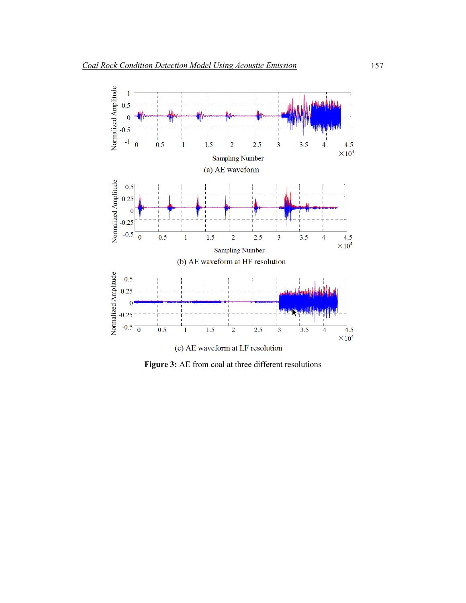

**Figure 3:** AE from coal at three different resolutions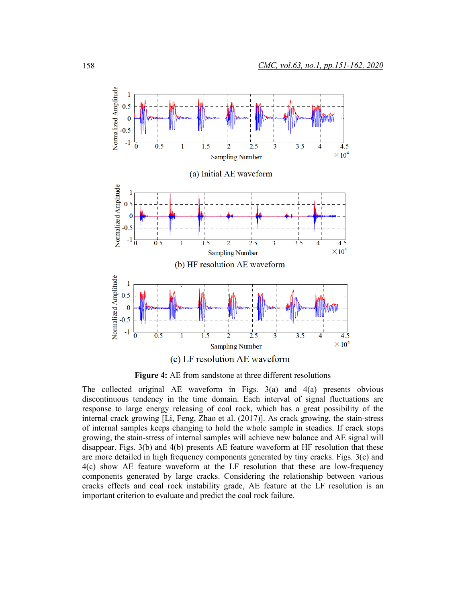

**Figure 4:** AE from sandstone at three different resolutions

The collected original AE waveform in Figs. 3(a) and 4(a) presents obvious discontinuous tendency in the time domain. Each interval of signal fluctuations are response to large energy releasing of coal rock, which has a great possibility of the internal crack growing [Li, Feng, Zhao et al. (2017)]. As crack growing, the stain-stress of internal samples keeps changing to hold the whole sample in steadies. If crack stops growing, the stain-stress of internal samples will achieve new balance and AE signal will disappear. Figs. 3(b) and 4(b) presents AE feature waveform at HF resolution that these are more detailed in high frequency components generated by tiny cracks. Figs. 3(c) and 4(c) show AE feature waveform at the LF resolution that these are low-frequency components generated by large cracks. Considering the relationship between various cracks effects and coal rock instability grade, AE feature at the LF resolution is an important criterion to evaluate and predict the coal rock failure.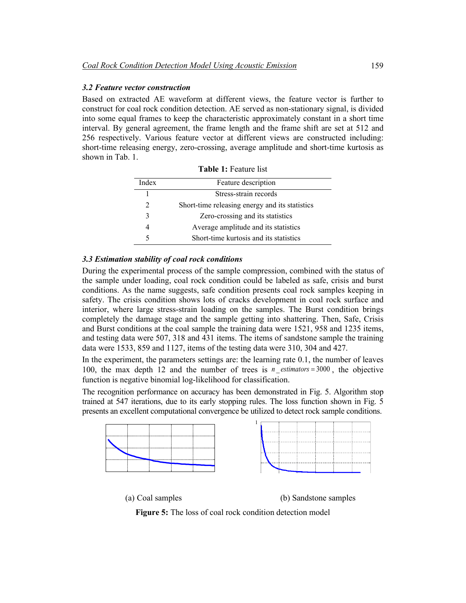#### *3.2 Feature vector construction*

Based on extracted AE waveform at different views, the feature vector is further to construct for coal rock condition detection. AE served as non-stationary signal, is divided into some equal frames to keep the characteristic approximately constant in a short time interval. By general agreement, the frame length and the frame shift are set at 512 and 256 respectively. Various feature vector at different views are constructed including: short-time releasing energy, zero-crossing, average amplitude and short-time kurtosis as shown in Tab. 1.

| Index          | Feature description                            |
|----------------|------------------------------------------------|
|                | Stress-strain records                          |
| $\mathfrak{D}$ | Short-time releasing energy and its statistics |
| 3              | Zero-crossing and its statistics               |
| 4              | Average amplitude and its statistics           |
| 5              | Short-time kurtosis and its statistics         |

**Table 1:** Feature list

### *3.3 Estimation stability of coal rock conditions*

During the experimental process of the sample compression, combined with the status of the sample under loading, coal rock condition could be labeled as safe, crisis and burst conditions. As the name suggests, safe condition presents coal rock samples keeping in safety. The crisis condition shows lots of cracks development in coal rock surface and interior, where large stress-strain loading on the samples. The Burst condition brings completely the damage stage and the sample getting into shattering. Then, Safe, Crisis and Burst conditions at the coal sample the training data were 1521, 958 and 1235 items, and testing data were 507, 318 and 431 items. The items of sandstone sample the training data were 1533, 859 and 1127, items of the testing data were 310, 304 and 427.

In the experiment, the parameters settings are: the learning rate 0.1, the number of leaves 100, the max depth 12 and the number of trees is  $n$ *\_estimators* = 3000, the objective function is negative binomial log-likelihood for classification.

The recognition performance on accuracy has been demonstrated in Fig. 5. Algorithm stop trained at 547 iterations, due to its early stopping rules. The loss function shown in Fig. 5 presents an excellent computational convergence be utilized to detect rock sample conditions.



(a) Coal samples (b) Sandstone samples

**Figure 5:** The loss of coal rock condition detection model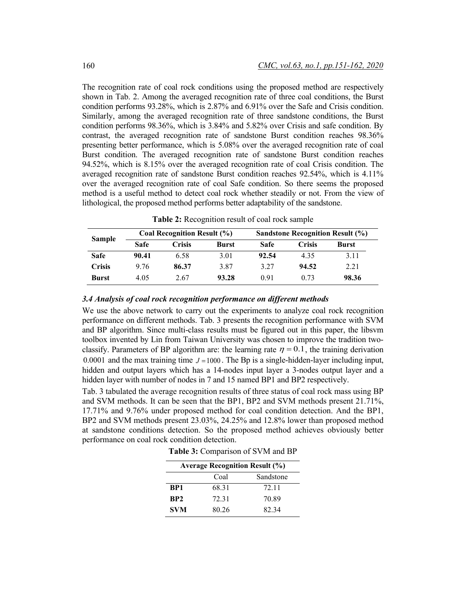The recognition rate of coal rock conditions using the proposed method are respectively shown in Tab. 2. Among the averaged recognition rate of three coal conditions, the Burst condition performs 93.28%, which is 2.87% and 6.91% over the Safe and Crisis condition. Similarly, among the averaged recognition rate of three sandstone conditions, the Burst condition performs 98.36%, which is 3.84% and 5.82% over Crisis and safe condition. By contrast, the averaged recognition rate of sandstone Burst condition reaches 98.36% presenting better performance, which is 5.08% over the averaged recognition rate of coal Burst condition. The averaged recognition rate of sandstone Burst condition reaches 94.52%, which is 8.15% over the averaged recognition rate of coal Crisis condition. The averaged recognition rate of sandstone Burst condition reaches 92.54%, which is 4.11% over the averaged recognition rate of coal Safe condition. So there seems the proposed method is a useful method to detect coal rock whether steadily or not. From the view of lithological, the proposed method performs better adaptability of the sandstone.

**Table 2:** Recognition result of coal rock sample

| <b>Sample</b> | Coal Recognition Result (%) |        |              | <b>Sandstone Recognition Result (%)</b> |        |       |
|---------------|-----------------------------|--------|--------------|-----------------------------------------|--------|-------|
|               | Safe                        | Crisis | <b>Burst</b> | <b>Safe</b>                             | Crisis | Burst |
| Safe          | 90.41                       | 6.58   | 3.01         | 92.54                                   | 4.35   | 3.11  |
| <b>Crisis</b> | 9.76                        | 86.37  | 3.87         | 3 27                                    | 94.52  | 2.21  |
| <b>Burst</b>  | 4.05                        | 2.67   | 93.28        | 0.91                                    | 0.73   | 98.36 |

#### *3.4 Analysis of coal rock recognition performance on different methods*

We use the above network to carry out the experiments to analyze coal rock recognition performance on different methods. Tab. 3 presents the recognition performance with SVM and BP algorithm. Since multi-class results must be figured out in this paper, the libsvm toolbox invented by Lin from Taiwan University was chosen to improve the tradition twoclassify. Parameters of BP algorithm are: the learning rate  $\eta = 0.1$ , the training derivation 0.0001 and the max training time  $J = 1000$ . The Bp is a single-hidden-layer including input, hidden and output layers which has a 14-nodes input layer a 3-nodes output layer and a hidden layer with number of nodes in 7 and 15 named BP1 and BP2 respectively.

Tab. 3 tabulated the average recognition results of three status of coal rock mass using BP and SVM methods. It can be seen that the BP1, BP2 and SVM methods present 21.71%, 17.71% and 9.76% under proposed method for coal condition detection. And the BP1, BP2 and SVM methods present 23.03%, 24.25% and 12.8% lower than proposed method at sandstone conditions detection. So the proposed method achieves obviously better performance on coal rock condition detection.

**Table 3:** Comparison of SVM and BP

| <b>Average Recognition Result (%)</b> |       |           |  |  |
|---------------------------------------|-------|-----------|--|--|
|                                       | Coal  | Sandstone |  |  |
| BP1                                   | 68.31 | 72.11     |  |  |
| BP <sub>2</sub>                       | 72 31 | 70.89     |  |  |
| <b>SVM</b>                            | 80.26 | 82 34     |  |  |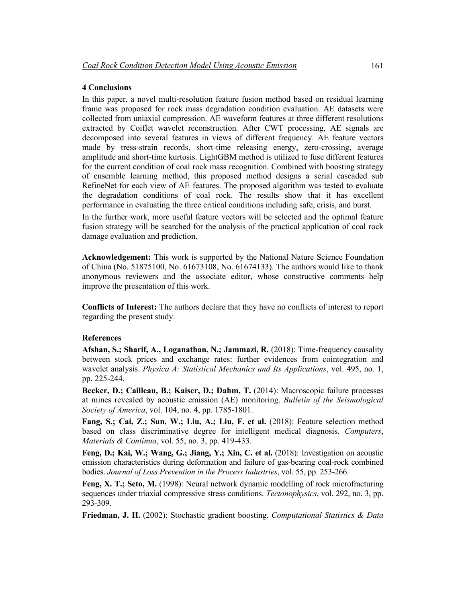### **4 Conclusions**

In this paper, a novel multi-resolution feature fusion method based on residual learning frame was proposed for rock mass degradation condition evaluation. AE datasets were collected from uniaxial compression. AE waveform features at three different resolutions extracted by Coiflet wavelet reconstruction. After CWT processing, AE signals are decomposed into several features in views of different frequency. AE feature vectors made by tress-strain records, short-time releasing energy, zero-crossing, average amplitude and short-time kurtosis. LightGBM method is utilized to fuse different features for the current condition of coal rock mass recognition. Combined with boosting strategy of ensemble learning method, this proposed method designs a serial cascaded sub RefineNet for each view of AE features. The proposed algorithm was tested to evaluate the degradation conditions of coal rock. The results show that it has excellent performance in evaluating the three critical conditions including safe, crisis, and burst.

In the further work, more useful feature vectors will be selected and the optimal feature fusion strategy will be searched for the analysis of the practical application of coal rock damage evaluation and prediction.

**Acknowledgement:** This work is supported by the National Nature Science Foundation of China (No. 51875100, No. 61673108, No. 61674133). The authors would like to thank anonymous reviewers and the associate editor, whose constructive comments help improve the presentation of this work.

**Conflicts of Interest:** The authors declare that they have no conflicts of interest to report regarding the present study.

#### **References**

**Afshan, S.; Sharif, A., Loganathan, N.; Jammazi, R.** (2018): Time-frequency causality between stock prices and exchange rates: further evidences from cointegration and wavelet analysis. *Physica A: Statistical Mechanics and Its Applications*, vol. 495, no. 1, pp. 225-244.

**Becker, D.; Cailleau, B.; Kaiser, D.; Dahm, T.** (2014): Macroscopic failure processes at mines revealed by acoustic emission (AE) monitoring. *Bulletin of the Seismological Society of America*, vol. 104, no. 4, pp. 1785-1801.

**Fang, S.; Cai, Z.; Sun, W.; Liu, A.; Liu, F. et al.** (2018): Feature selection method based on class discriminative degree for intelligent medical diagnosis. *Computers*, *Materials & Continua*, vol. 55, no. 3, pp. 419-433.

**Feng, D.; Kai, W.; Wang, G.; Jiang, Y.; Xin, C. et al.** (2018): Investigation on acoustic emission characteristics during deformation and failure of gas-bearing coal-rock combined bodies. *Journal of Loss Prevention in the Process Industries*, vol. 55, pp. 253-266.

**Feng, X. T.; Seto, M.** (1998): Neural network dynamic modelling of rock microfracturing sequences under triaxial compressive stress conditions. *Tectonophysics*, vol. 292, no. 3, pp. 293-309.

**Friedman, J. H.** (2002): Stochastic gradient boosting. *Computational Statistics & Data*